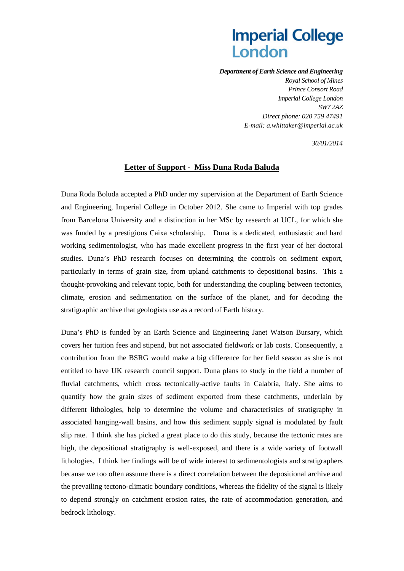# **Imperial College** London

*Department of Earth Science and Engineering* 

*Royal School of Mines Prince Consort Road Imperial College London SW7 2AZ Direct phone: 020 759 47491 E-mail: a.whittaker@imperial.ac.uk* 

 *30/01/2014* 

#### **Letter of Support - Miss Duna Roda Baluda**

Duna Roda Boluda accepted a PhD under my supervision at the Department of Earth Science and Engineering, Imperial College in October 2012. She came to Imperial with top grades from Barcelona University and a distinction in her MSc by research at UCL, for which she was funded by a prestigious Caixa scholarship. Duna is a dedicated, enthusiastic and hard working sedimentologist, who has made excellent progress in the first year of her doctoral studies. Duna's PhD research focuses on determining the controls on sediment export, particularly in terms of grain size, from upland catchments to depositional basins. This a thought-provoking and relevant topic, both for understanding the coupling between tectonics, climate, erosion and sedimentation on the surface of the planet, and for decoding the stratigraphic archive that geologists use as a record of Earth history.

Duna's PhD is funded by an Earth Science and Engineering Janet Watson Bursary, which covers her tuition fees and stipend, but not associated fieldwork or lab costs. Consequently, a contribution from the BSRG would make a big difference for her field season as she is not entitled to have UK research council support. Duna plans to study in the field a number of fluvial catchments, which cross tectonically-active faults in Calabria, Italy. She aims to quantify how the grain sizes of sediment exported from these catchments, underlain by different lithologies, help to determine the volume and characteristics of stratigraphy in associated hanging-wall basins, and how this sediment supply signal is modulated by fault slip rate. I think she has picked a great place to do this study, because the tectonic rates are high, the depositional stratigraphy is well-exposed, and there is a wide variety of footwall lithologies. I think her findings will be of wide interest to sedimentologists and stratigraphers because we too often assume there is a direct correlation between the depositional archive and the prevailing tectono-climatic boundary conditions, whereas the fidelity of the signal is likely to depend strongly on catchment erosion rates, the rate of accommodation generation, and bedrock lithology.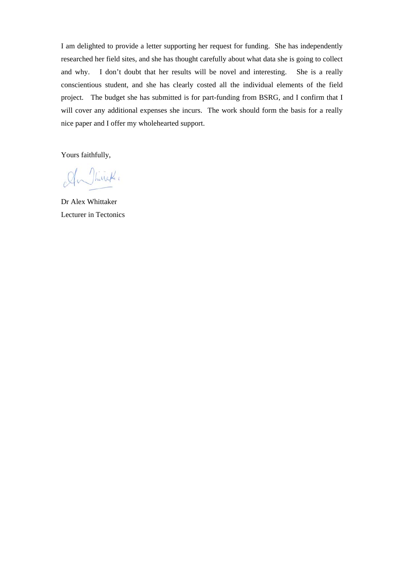I am delighted to provide a letter supporting her request for funding. She has independently researched her field sites, and she has thought carefully about what data she is going to collect and why. I don't doubt that her results will be novel and interesting. She is a really conscientious student, and she has clearly costed all the individual elements of the field project. The budget she has submitted is for part-funding from BSRG, and I confirm that I will cover any additional expenses she incurs. The work should form the basis for a really nice paper and I offer my wholehearted support.

Yours faithfully,

An Thirschi

Dr Alex Whittaker Lecturer in Tectonics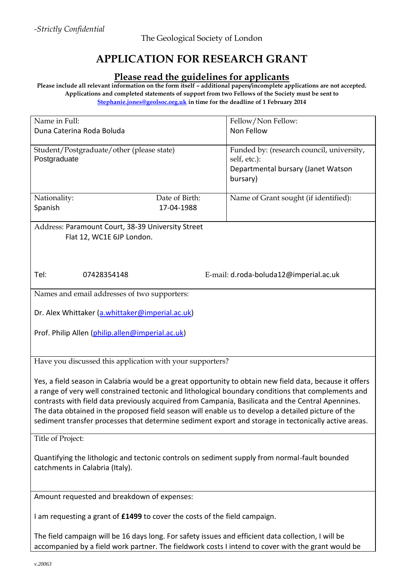## **APPLICATION FOR RESEARCH GRANT**

### **Please read the guidelines for applicants**

**Please include all relevant information on the form itself – additional papers/incomplete applications are not accepted. Applications and completed statements of support from two Fellows of the Society must be sent to [Stephanie.jones@geolsoc.org.uk](mailto:Stephanie.jones@geolsoc.org.uk) in time for the deadline of 1 February 2014** 

| Name in Full:                                                                                            |                                              |                | Fellow/Non Fellow:                        |
|----------------------------------------------------------------------------------------------------------|----------------------------------------------|----------------|-------------------------------------------|
| Duna Caterina Roda Boluda                                                                                |                                              |                | Non Fellow                                |
|                                                                                                          |                                              |                |                                           |
|                                                                                                          | Student/Postgraduate/other (please state)    |                | Funded by: (research council, university, |
| Postgraduate                                                                                             |                                              |                | self, etc.):                              |
|                                                                                                          |                                              |                |                                           |
|                                                                                                          |                                              |                | Departmental bursary (Janet Watson        |
|                                                                                                          |                                              |                | bursary)                                  |
|                                                                                                          |                                              |                |                                           |
| Nationality:                                                                                             |                                              | Date of Birth: | Name of Grant sought (if identified):     |
| Spanish                                                                                                  |                                              | 17-04-1988     |                                           |
|                                                                                                          |                                              |                |                                           |
| Address: Paramount Court, 38-39 University Street                                                        |                                              |                |                                           |
| Flat 12, WC1E 6JP London.                                                                                |                                              |                |                                           |
|                                                                                                          |                                              |                |                                           |
|                                                                                                          |                                              |                |                                           |
|                                                                                                          |                                              |                |                                           |
|                                                                                                          |                                              |                |                                           |
| Tel:                                                                                                     | 07428354148                                  |                | E-mail: d.roda-boluda12@imperial.ac.uk    |
|                                                                                                          |                                              |                |                                           |
|                                                                                                          | Names and email addresses of two supporters: |                |                                           |
|                                                                                                          |                                              |                |                                           |
| Dr. Alex Whittaker (a.whittaker@imperial.ac.uk)                                                          |                                              |                |                                           |
|                                                                                                          |                                              |                |                                           |
|                                                                                                          |                                              |                |                                           |
| Prof. Philip Allen (philip.allen@imperial.ac.uk)                                                         |                                              |                |                                           |
|                                                                                                          |                                              |                |                                           |
|                                                                                                          |                                              |                |                                           |
| Have you discussed this application with your supporters?                                                |                                              |                |                                           |
|                                                                                                          |                                              |                |                                           |
| Yes, a field season in Calabria would be a great opportunity to obtain new field data, because it offers |                                              |                |                                           |
| a range of very well constrained tectonic and lithological boundary conditions that complements and      |                                              |                |                                           |
|                                                                                                          |                                              |                |                                           |
| contrasts with field data previously acquired from Campania, Basilicata and the Central Apennines.       |                                              |                |                                           |
| The data obtained in the proposed field season will enable us to develop a detailed picture of the       |                                              |                |                                           |
| sediment transfer processes that determine sediment export and storage in tectonically active areas.     |                                              |                |                                           |
|                                                                                                          |                                              |                |                                           |
| Title of Project:                                                                                        |                                              |                |                                           |
|                                                                                                          |                                              |                |                                           |
| Quantifying the lithologic and tectonic controls on sediment supply from normal-fault bounded            |                                              |                |                                           |
| catchments in Calabria (Italy).                                                                          |                                              |                |                                           |
|                                                                                                          |                                              |                |                                           |
|                                                                                                          |                                              |                |                                           |
|                                                                                                          |                                              |                |                                           |
| Amount requested and breakdown of expenses:                                                              |                                              |                |                                           |
|                                                                                                          |                                              |                |                                           |
| I am requesting a grant of £1499 to cover the costs of the field campaign.                               |                                              |                |                                           |
|                                                                                                          |                                              |                |                                           |
| The field campaign will be 16 days long. For safety issues and efficient data collection, I will be      |                                              |                |                                           |
|                                                                                                          |                                              |                |                                           |
| accompanied by a field work partner. The fieldwork costs I intend to cover with the grant would be       |                                              |                |                                           |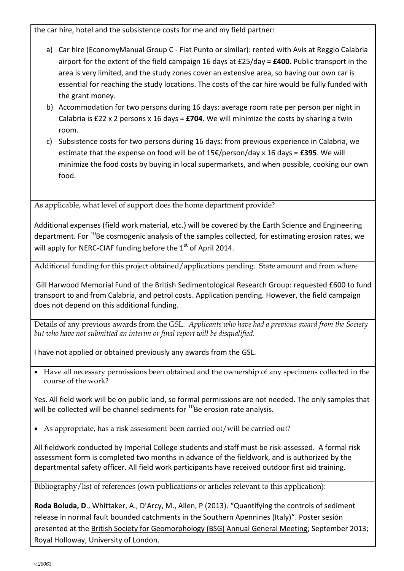the car hire, hotel and the subsistence costs for me and my field partner:

- a) Car hire (EconomyManual Group C Fiat Punto or similar): rented with Avis at Reggio Calabria airport for the extent of the field campaign 16 days at £25/day **= £400.** Public transport in the area is very limited, and the study zones cover an extensive area, so having our own car is essential for reaching the study locations. The costs of the car hire would be fully funded with the grant money.
- b) Accommodation for two persons during 16 days: average room rate per person per night in Calabria is £22 x 2 persons x 16 days = **£704**. We will minimize the costs by sharing a twin room.
- c) Subsistence costs for two persons during 16 days: from previous experience in Calabria, we estimate that the expense on food will be of 15€/person/day x 16 days = **£395**. We will minimize the food costs by buying in local supermarkets, and when possible, cooking our own food.

As applicable, what level of support does the home department provide?

Additional expenses (field work material, etc.) will be covered by the Earth Science and Engineering department. For <sup>10</sup>Be cosmogenic analysis of the samples collected, for estimating erosion rates, we will apply for NERC-CIAF funding before the 1<sup>st</sup> of April 2014.

Additional funding for this project obtained/applications pending. State amount and from where

Gill Harwood Memorial Fund of the British Sedimentological Research Group: requested £600 to fund transport to and from Calabria, and petrol costs. Application pending. However, the field campaign does not depend on this additional funding.

Details of any previous awards from the GSL. *Applicants who have had a previous award from the Society but who have not submitted an interim or final report will be disqualified.* 

I have not applied or obtained previously any awards from the GSL.

 Have all necessary permissions been obtained and the ownership of any specimens collected in the course of the work?

Yes. All field work will be on public land, so formal permissions are not needed. The only samples that will be collected will be channel sediments for  $10B$ e erosion rate analysis.

As appropriate, has a risk assessment been carried out/will be carried out?

All fieldwork conducted by Imperial College students and staff must be risk-assessed. A formal risk assessment form is completed two months in advance of the fieldwork, and is authorized by the departmental safety officer. All field work participants have received outdoor first aid training.

Bibliography/list of references (own publications or articles relevant to this application):

**Roda Boluda, D**., Whittaker, A., D'Arcy, M., Allen, P (2013). "Quantifying the controls of sediment release in normal fault bounded catchments in the Southern Apennines (Italy)". Poster sesión presented at the British Society for Geomorphology (BSG) Annual General Meeting; September 2013; Royal Holloway, University of London.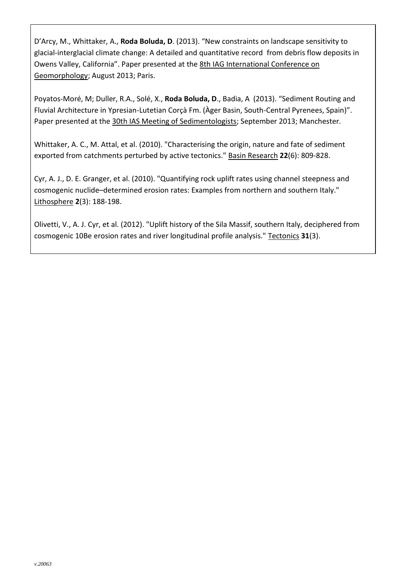D'Arcy, M., Whittaker, A., **Roda Boluda, D**. (2013). "New constraints on landscape sensitivity to glacial-interglacial climate change: A detailed and quantitative record from debris flow deposits in Owens Valley, California". Paper presented at the 8th IAG International Conference on Geomorphology; August 2013; Paris.

Poyatos-Moré, M; Duller, R.A., Solé, X., **Roda Boluda, D**., Badia, A (2013). "Sediment Routing and Fluvial Architecture in Ypresian-Lutetian Corçà Fm. (Àger Basin, South-Central Pyrenees, Spain)". Paper presented at the 30th IAS Meeting of Sedimentologists; September 2013; Manchester.

Whittaker, A. C., M. Attal, et al. (2010). "Characterising the origin, nature and fate of sediment exported from catchments perturbed by active tectonics." Basin Research **22**(6): 809-828.

Cyr, A. J., D. E. Granger, et al. (2010). "Quantifying rock uplift rates using channel steepness and cosmogenic nuclide–determined erosion rates: Examples from northern and southern Italy." Lithosphere **2**(3): 188-198.

Olivetti, V., A. J. Cyr, et al. (2012). "Uplift history of the Sila Massif, southern Italy, deciphered from cosmogenic 10Be erosion rates and river longitudinal profile analysis." Tectonics **31**(3).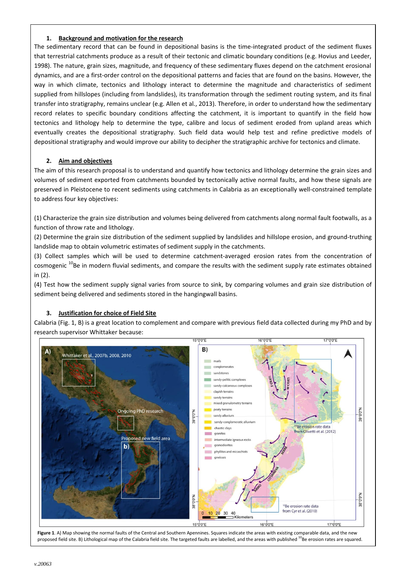#### **1. Background and motivation for the research**

The sedimentary record that can be found in depositional basins is the time-integrated product of the sediment fluxes that terrestrial catchments produce as a result of their tectonic and climatic boundary conditions (e.g. Hovius and Leeder, 1998). The nature, grain sizes, magnitude, and frequency of these sedimentary fluxes depend on the catchment erosional dynamics, and are a first-order control on the depositional patterns and facies that are found on the basins. However, the way in which climate, tectonics and lithology interact to determine the magnitude and characteristics of sediment supplied from hillslopes (including from landslides), its transformation through the sediment routing system, and its final transfer into stratigraphy, remains unclear (e.g. Allen et al., 2013). Therefore, in order to understand how the sedimentary record relates to specific boundary conditions affecting the catchment, it is important to quantify in the field how tectonics and lithology help to determine the type, calibre and locus of sediment eroded from upland areas which eventually creates the depositional stratigraphy. Such field data would help test and refine predictive models of depositional stratigraphy and would improve our ability to decipher the stratigraphic archive for tectonics and climate.

#### **2. Aim and objectives**

The aim of this research proposal is to understand and quantify how tectonics and lithology determine the grain sizes and volumes of sediment exported from catchments bounded by tectonically active normal faults, and how these signals are preserved in Pleistocene to recent sediments using catchments in Calabria as an exceptionally well-constrained template to address four key objectives:

(1) Characterize the grain size distribution and volumes being delivered from catchments along normal fault footwalls, as a function of throw rate and lithology.

(2) Determine the grain size distribution of the sediment supplied by landslides and hillslope erosion, and ground-truthing landslide map to obtain volumetric estimates of sediment supply in the catchments.

(3) Collect samples which will be used to determine catchment-averaged erosion rates from the concentration of cosmogenic <sup>10</sup>Be in modern fluvial sediments, and compare the results with the sediment supply rate estimates obtained in (2).

(4) Test how the sediment supply signal varies from source to sink, by comparing volumes and grain size distribution of sediment being delivered and sediments stored in the hangingwall basins.

#### **3. Justification for choice of Field Site**

Calabria (Fig. 1, B) is a great location to complement and compare with previous field data collected during my PhD and by research supervisor Whittaker because:



**Figure 1**. A) Map showing the normal faults of the Central and Southern Apennines. Squares indicate the areas with existing comparable data, and the new proposed field site. B) Lithological map of the Calabria field site. The targeted faults are labelled, and the areas with published <sup>10</sup>Be erosion rates are squared.